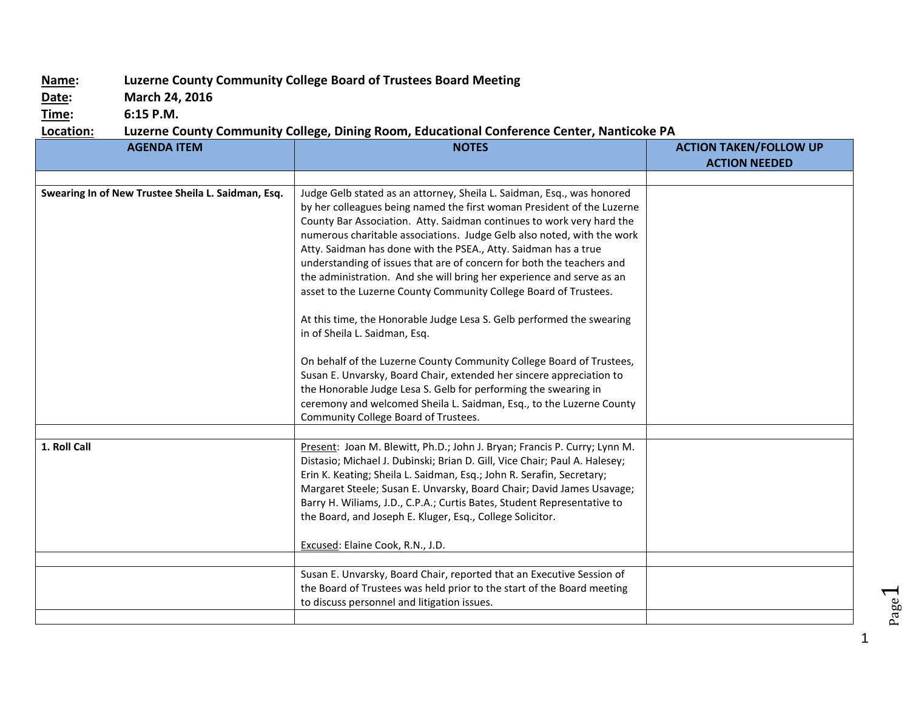## **Name: Luzerne County Community College Board of Trustees Board Meeting**

**Date: March 24, 2016**

**Time: 6:15 P.M.**

## **Location: Luzerne County Community College, Dining Room, Educational Conference Center, Nanticoke PA**

| <b>AGENDA ITEM</b>                                 | <b>NOTES</b>                                                                                                                                                                                                                                                                                                                                                                                                                                                                                                                                                                                                                                                                                           | <b>ACTION TAKEN/FOLLOW UP</b> |
|----------------------------------------------------|--------------------------------------------------------------------------------------------------------------------------------------------------------------------------------------------------------------------------------------------------------------------------------------------------------------------------------------------------------------------------------------------------------------------------------------------------------------------------------------------------------------------------------------------------------------------------------------------------------------------------------------------------------------------------------------------------------|-------------------------------|
|                                                    |                                                                                                                                                                                                                                                                                                                                                                                                                                                                                                                                                                                                                                                                                                        | <b>ACTION NEEDED</b>          |
|                                                    |                                                                                                                                                                                                                                                                                                                                                                                                                                                                                                                                                                                                                                                                                                        |                               |
| Swearing In of New Trustee Sheila L. Saidman, Esq. | Judge Gelb stated as an attorney, Sheila L. Saidman, Esq., was honored<br>by her colleagues being named the first woman President of the Luzerne<br>County Bar Association. Atty. Saidman continues to work very hard the<br>numerous charitable associations. Judge Gelb also noted, with the work<br>Atty. Saidman has done with the PSEA., Atty. Saidman has a true<br>understanding of issues that are of concern for both the teachers and<br>the administration. And she will bring her experience and serve as an<br>asset to the Luzerne County Community College Board of Trustees.<br>At this time, the Honorable Judge Lesa S. Gelb performed the swearing<br>in of Sheila L. Saidman, Esq. |                               |
|                                                    | On behalf of the Luzerne County Community College Board of Trustees,<br>Susan E. Unvarsky, Board Chair, extended her sincere appreciation to<br>the Honorable Judge Lesa S. Gelb for performing the swearing in<br>ceremony and welcomed Sheila L. Saidman, Esq., to the Luzerne County<br>Community College Board of Trustees.                                                                                                                                                                                                                                                                                                                                                                        |                               |
|                                                    |                                                                                                                                                                                                                                                                                                                                                                                                                                                                                                                                                                                                                                                                                                        |                               |
| 1. Roll Call                                       | Present: Joan M. Blewitt, Ph.D.; John J. Bryan; Francis P. Curry; Lynn M.<br>Distasio; Michael J. Dubinski; Brian D. Gill, Vice Chair; Paul A. Halesey;<br>Erin K. Keating; Sheila L. Saidman, Esq.; John R. Serafin, Secretary;<br>Margaret Steele; Susan E. Unvarsky, Board Chair; David James Usavage;<br>Barry H. Wiliams, J.D., C.P.A.; Curtis Bates, Student Representative to<br>the Board, and Joseph E. Kluger, Esq., College Solicitor.<br>Excused: Elaine Cook, R.N., J.D.                                                                                                                                                                                                                  |                               |
|                                                    |                                                                                                                                                                                                                                                                                                                                                                                                                                                                                                                                                                                                                                                                                                        |                               |
|                                                    | Susan E. Unvarsky, Board Chair, reported that an Executive Session of<br>the Board of Trustees was held prior to the start of the Board meeting<br>to discuss personnel and litigation issues.                                                                                                                                                                                                                                                                                                                                                                                                                                                                                                         |                               |
|                                                    |                                                                                                                                                                                                                                                                                                                                                                                                                                                                                                                                                                                                                                                                                                        |                               |

1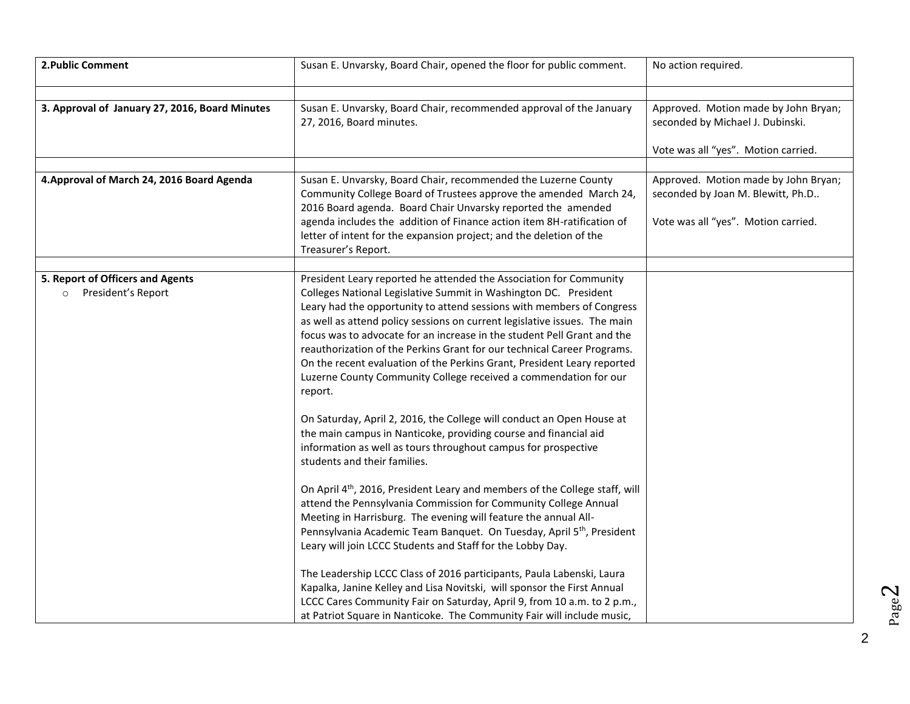| 2. Public Comment                                                 | Susan E. Unvarsky, Board Chair, opened the floor for public comment.                                                                                                                                                                                                                                                                                                                                                                                                                                                                                                                                                                                                                                                                                                                                                                                                                                                                                                                                                                                                                                                                                                                                                                                                                                                                                                                                                                                                                                                                                     | No action required.                                                                                              |
|-------------------------------------------------------------------|----------------------------------------------------------------------------------------------------------------------------------------------------------------------------------------------------------------------------------------------------------------------------------------------------------------------------------------------------------------------------------------------------------------------------------------------------------------------------------------------------------------------------------------------------------------------------------------------------------------------------------------------------------------------------------------------------------------------------------------------------------------------------------------------------------------------------------------------------------------------------------------------------------------------------------------------------------------------------------------------------------------------------------------------------------------------------------------------------------------------------------------------------------------------------------------------------------------------------------------------------------------------------------------------------------------------------------------------------------------------------------------------------------------------------------------------------------------------------------------------------------------------------------------------------------|------------------------------------------------------------------------------------------------------------------|
| 3. Approval of January 27, 2016, Board Minutes                    | Susan E. Unvarsky, Board Chair, recommended approval of the January<br>27, 2016, Board minutes.                                                                                                                                                                                                                                                                                                                                                                                                                                                                                                                                                                                                                                                                                                                                                                                                                                                                                                                                                                                                                                                                                                                                                                                                                                                                                                                                                                                                                                                          | Approved. Motion made by John Bryan;<br>seconded by Michael J. Dubinski.<br>Vote was all "yes". Motion carried.  |
| 4. Approval of March 24, 2016 Board Agenda                        | Susan E. Unvarsky, Board Chair, recommended the Luzerne County<br>Community College Board of Trustees approve the amended March 24,<br>2016 Board agenda. Board Chair Unvarsky reported the amended<br>agenda includes the addition of Finance action item 8H-ratification of<br>letter of intent for the expansion project; and the deletion of the<br>Treasurer's Report.                                                                                                                                                                                                                                                                                                                                                                                                                                                                                                                                                                                                                                                                                                                                                                                                                                                                                                                                                                                                                                                                                                                                                                              | Approved. Motion made by John Bryan;<br>seconded by Joan M. Blewitt, Ph.D<br>Vote was all "yes". Motion carried. |
| 5. Report of Officers and Agents<br>President's Report<br>$\circ$ | President Leary reported he attended the Association for Community<br>Colleges National Legislative Summit in Washington DC. President<br>Leary had the opportunity to attend sessions with members of Congress<br>as well as attend policy sessions on current legislative issues. The main<br>focus was to advocate for an increase in the student Pell Grant and the<br>reauthorization of the Perkins Grant for our technical Career Programs.<br>On the recent evaluation of the Perkins Grant, President Leary reported<br>Luzerne County Community College received a commendation for our<br>report.<br>On Saturday, April 2, 2016, the College will conduct an Open House at<br>the main campus in Nanticoke, providing course and financial aid<br>information as well as tours throughout campus for prospective<br>students and their families.<br>On April 4 <sup>th</sup> , 2016, President Leary and members of the College staff, will<br>attend the Pennsylvania Commission for Community College Annual<br>Meeting in Harrisburg. The evening will feature the annual All-<br>Pennsylvania Academic Team Banquet. On Tuesday, April 5 <sup>th</sup> , President<br>Leary will join LCCC Students and Staff for the Lobby Day.<br>The Leadership LCCC Class of 2016 participants, Paula Labenski, Laura<br>Kapalka, Janine Kelley and Lisa Novitski, will sponsor the First Annual<br>LCCC Cares Community Fair on Saturday, April 9, from 10 a.m. to 2 p.m.,<br>at Patriot Square in Nanticoke. The Community Fair will include music, |                                                                                                                  |

Page  $\boldsymbol{\sim}$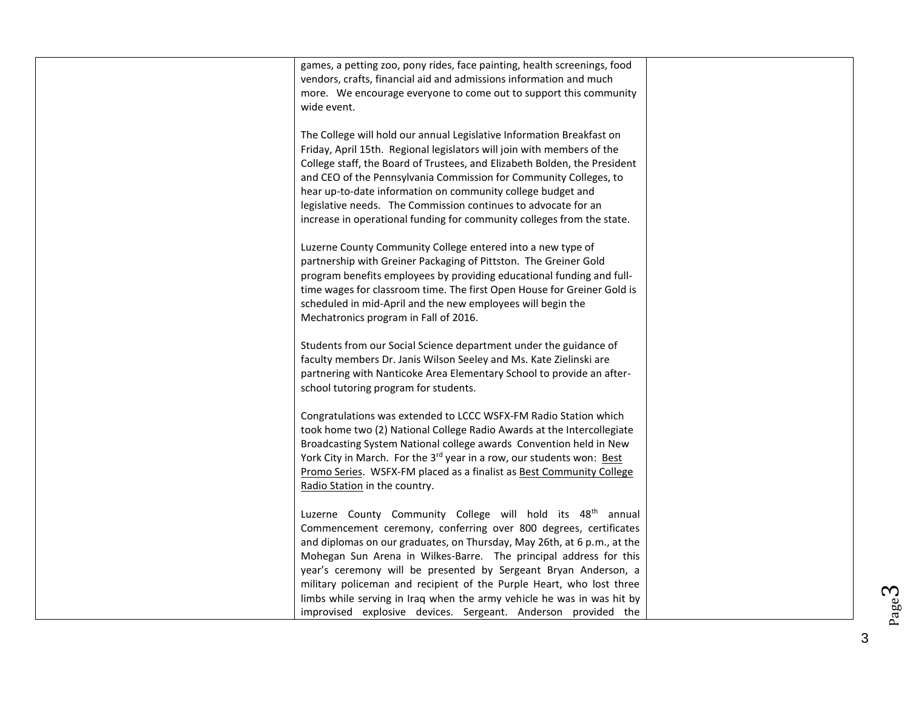| games, a petting zoo, pony rides, face painting, health screenings, food          |  |
|-----------------------------------------------------------------------------------|--|
| vendors, crafts, financial aid and admissions information and much                |  |
| more. We encourage everyone to come out to support this community                 |  |
| wide event.                                                                       |  |
| The College will hold our annual Legislative Information Breakfast on             |  |
| Friday, April 15th. Regional legislators will join with members of the            |  |
| College staff, the Board of Trustees, and Elizabeth Bolden, the President         |  |
| and CEO of the Pennsylvania Commission for Community Colleges, to                 |  |
| hear up-to-date information on community college budget and                       |  |
| legislative needs. The Commission continues to advocate for an                    |  |
| increase in operational funding for community colleges from the state.            |  |
|                                                                                   |  |
| Luzerne County Community College entered into a new type of                       |  |
| partnership with Greiner Packaging of Pittston. The Greiner Gold                  |  |
| program benefits employees by providing educational funding and full-             |  |
| time wages for classroom time. The first Open House for Greiner Gold is           |  |
| scheduled in mid-April and the new employees will begin the                       |  |
| Mechatronics program in Fall of 2016.                                             |  |
| Students from our Social Science department under the guidance of                 |  |
| faculty members Dr. Janis Wilson Seeley and Ms. Kate Zielinski are                |  |
| partnering with Nanticoke Area Elementary School to provide an after-             |  |
| school tutoring program for students.                                             |  |
|                                                                                   |  |
| Congratulations was extended to LCCC WSFX-FM Radio Station which                  |  |
| took home two (2) National College Radio Awards at the Intercollegiate            |  |
| Broadcasting System National college awards Convention held in New                |  |
| York City in March. For the 3 <sup>rd</sup> year in a row, our students won: Best |  |
| Promo Series. WSFX-FM placed as a finalist as Best Community College              |  |
| Radio Station in the country.                                                     |  |
| Luzerne County Community College will hold its 48 <sup>th</sup> annual            |  |
| Commencement ceremony, conferring over 800 degrees, certificates                  |  |
| and diplomas on our graduates, on Thursday, May 26th, at 6 p.m., at the           |  |
| Mohegan Sun Arena in Wilkes-Barre. The principal address for this                 |  |
| year's ceremony will be presented by Sergeant Bryan Anderson, a                   |  |
| military policeman and recipient of the Purple Heart, who lost three              |  |
| limbs while serving in Iraq when the army vehicle he was in was hit by            |  |
| improvised explosive devices. Sergeant. Anderson provided the                     |  |

3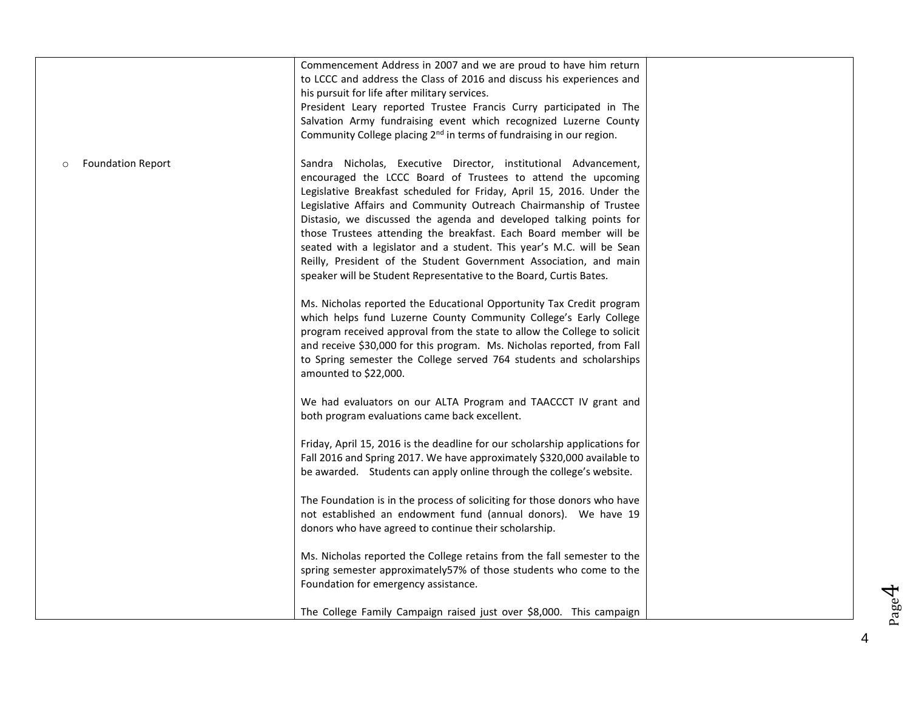|                          | Commencement Address in 2007 and we are proud to have him return<br>to LCCC and address the Class of 2016 and discuss his experiences and<br>his pursuit for life after military services.<br>President Leary reported Trustee Francis Curry participated in The<br>Salvation Army fundraising event which recognized Luzerne County<br>Community College placing 2 <sup>nd</sup> in terms of fundraising in our region.                                                                                                                                                                                                                      |  |
|--------------------------|-----------------------------------------------------------------------------------------------------------------------------------------------------------------------------------------------------------------------------------------------------------------------------------------------------------------------------------------------------------------------------------------------------------------------------------------------------------------------------------------------------------------------------------------------------------------------------------------------------------------------------------------------|--|
| <b>Foundation Report</b> | Sandra Nicholas, Executive Director, institutional Advancement,<br>encouraged the LCCC Board of Trustees to attend the upcoming<br>Legislative Breakfast scheduled for Friday, April 15, 2016. Under the<br>Legislative Affairs and Community Outreach Chairmanship of Trustee<br>Distasio, we discussed the agenda and developed talking points for<br>those Trustees attending the breakfast. Each Board member will be<br>seated with a legislator and a student. This year's M.C. will be Sean<br>Reilly, President of the Student Government Association, and main<br>speaker will be Student Representative to the Board, Curtis Bates. |  |
|                          | Ms. Nicholas reported the Educational Opportunity Tax Credit program<br>which helps fund Luzerne County Community College's Early College<br>program received approval from the state to allow the College to solicit<br>and receive \$30,000 for this program. Ms. Nicholas reported, from Fall<br>to Spring semester the College served 764 students and scholarships<br>amounted to \$22,000.                                                                                                                                                                                                                                              |  |
|                          | We had evaluators on our ALTA Program and TAACCCT IV grant and<br>both program evaluations came back excellent.                                                                                                                                                                                                                                                                                                                                                                                                                                                                                                                               |  |
|                          | Friday, April 15, 2016 is the deadline for our scholarship applications for<br>Fall 2016 and Spring 2017. We have approximately \$320,000 available to<br>be awarded. Students can apply online through the college's website.                                                                                                                                                                                                                                                                                                                                                                                                                |  |
|                          | The Foundation is in the process of soliciting for those donors who have<br>not established an endowment fund (annual donors). We have 19<br>donors who have agreed to continue their scholarship.                                                                                                                                                                                                                                                                                                                                                                                                                                            |  |
|                          | Ms. Nicholas reported the College retains from the fall semester to the<br>spring semester approximately57% of those students who come to the<br>Foundation for emergency assistance.                                                                                                                                                                                                                                                                                                                                                                                                                                                         |  |
|                          | The College Family Campaign raised just over \$8,000. This campaign                                                                                                                                                                                                                                                                                                                                                                                                                                                                                                                                                                           |  |

4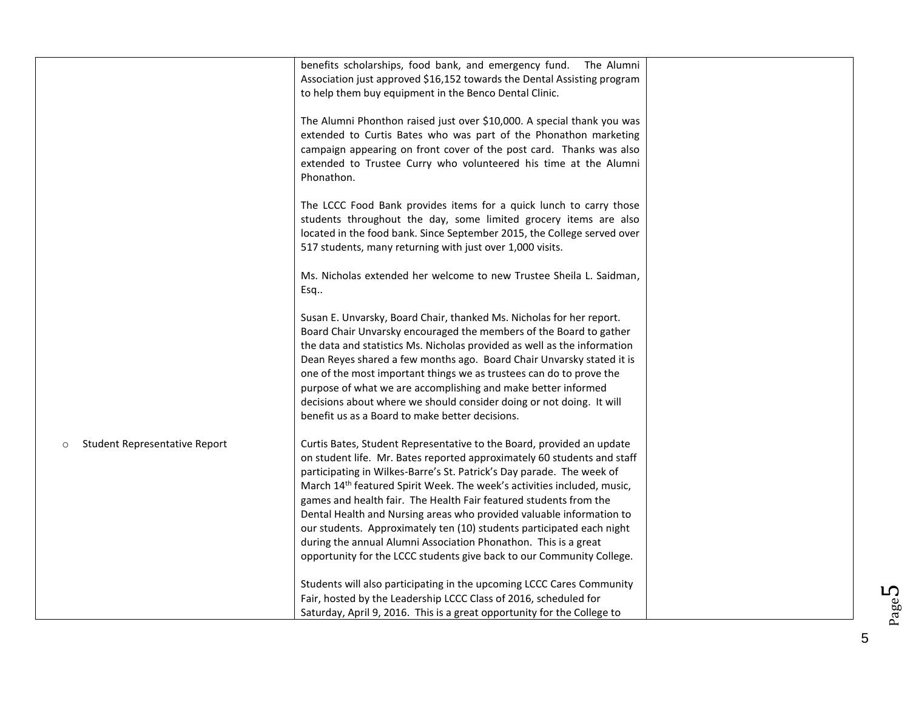|                                           | benefits scholarships, food bank, and emergency fund.<br>The Alumni<br>Association just approved \$16,152 towards the Dental Assisting program<br>to help them buy equipment in the Benco Dental Clinic.<br>The Alumni Phonthon raised just over \$10,000. A special thank you was<br>extended to Curtis Bates who was part of the Phonathon marketing<br>campaign appearing on front cover of the post card. Thanks was also<br>extended to Trustee Curry who volunteered his time at the Alumni<br>Phonathon.                                                                                                                                                                    |  |
|-------------------------------------------|------------------------------------------------------------------------------------------------------------------------------------------------------------------------------------------------------------------------------------------------------------------------------------------------------------------------------------------------------------------------------------------------------------------------------------------------------------------------------------------------------------------------------------------------------------------------------------------------------------------------------------------------------------------------------------|--|
|                                           | The LCCC Food Bank provides items for a quick lunch to carry those<br>students throughout the day, some limited grocery items are also<br>located in the food bank. Since September 2015, the College served over<br>517 students, many returning with just over 1,000 visits.                                                                                                                                                                                                                                                                                                                                                                                                     |  |
|                                           | Ms. Nicholas extended her welcome to new Trustee Sheila L. Saidman,<br>Esq                                                                                                                                                                                                                                                                                                                                                                                                                                                                                                                                                                                                         |  |
|                                           | Susan E. Unvarsky, Board Chair, thanked Ms. Nicholas for her report.<br>Board Chair Unvarsky encouraged the members of the Board to gather<br>the data and statistics Ms. Nicholas provided as well as the information<br>Dean Reyes shared a few months ago. Board Chair Unvarsky stated it is<br>one of the most important things we as trustees can do to prove the<br>purpose of what we are accomplishing and make better informed<br>decisions about where we should consider doing or not doing. It will<br>benefit us as a Board to make better decisions.                                                                                                                 |  |
| Student Representative Report<br>$\Omega$ | Curtis Bates, Student Representative to the Board, provided an update<br>on student life. Mr. Bates reported approximately 60 students and staff<br>participating in Wilkes-Barre's St. Patrick's Day parade. The week of<br>March 14 <sup>th</sup> featured Spirit Week. The week's activities included, music,<br>games and health fair. The Health Fair featured students from the<br>Dental Health and Nursing areas who provided valuable information to<br>our students. Approximately ten (10) students participated each night<br>during the annual Alumni Association Phonathon. This is a great<br>opportunity for the LCCC students give back to our Community College. |  |
|                                           | Students will also participating in the upcoming LCCC Cares Community<br>Fair, hosted by the Leadership LCCC Class of 2016, scheduled for<br>Saturday, April 9, 2016. This is a great opportunity for the College to                                                                                                                                                                                                                                                                                                                                                                                                                                                               |  |

Page L∩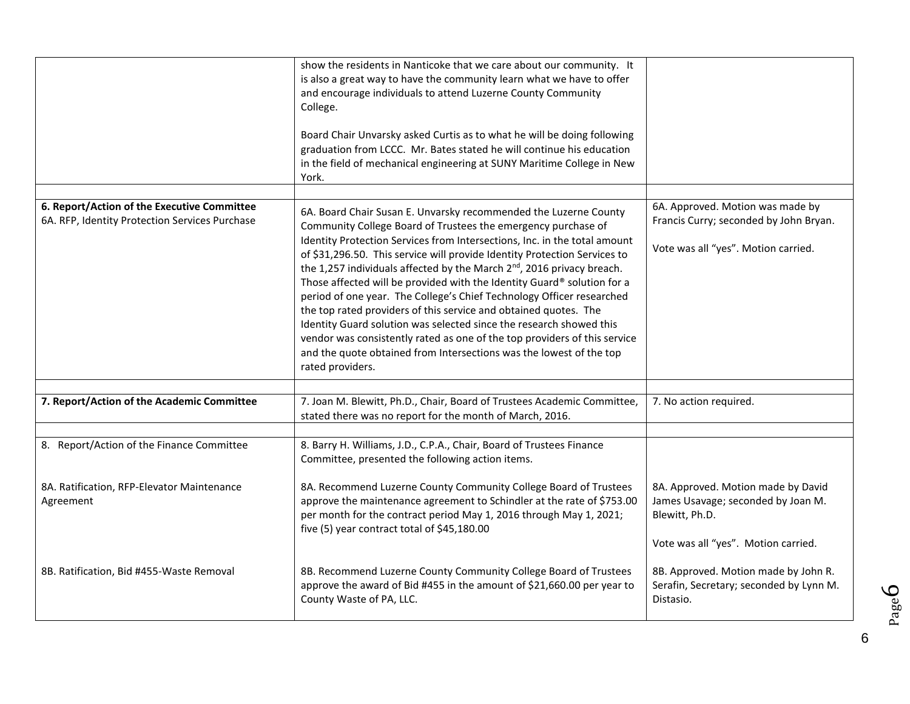|                                                                                               | show the residents in Nanticoke that we care about our community. It<br>is also a great way to have the community learn what we have to offer<br>and encourage individuals to attend Luzerne County Community<br>College.<br>Board Chair Unvarsky asked Curtis as to what he will be doing following<br>graduation from LCCC. Mr. Bates stated he will continue his education<br>in the field of mechanical engineering at SUNY Maritime College in New<br>York.                                                                                                                                                                                                                                                                                                                                                                                         |                                                                                                                                   |
|-----------------------------------------------------------------------------------------------|----------------------------------------------------------------------------------------------------------------------------------------------------------------------------------------------------------------------------------------------------------------------------------------------------------------------------------------------------------------------------------------------------------------------------------------------------------------------------------------------------------------------------------------------------------------------------------------------------------------------------------------------------------------------------------------------------------------------------------------------------------------------------------------------------------------------------------------------------------|-----------------------------------------------------------------------------------------------------------------------------------|
| 6. Report/Action of the Executive Committee<br>6A. RFP, Identity Protection Services Purchase | 6A. Board Chair Susan E. Unvarsky recommended the Luzerne County<br>Community College Board of Trustees the emergency purchase of<br>Identity Protection Services from Intersections, Inc. in the total amount<br>of \$31,296.50. This service will provide Identity Protection Services to<br>the 1,257 individuals affected by the March 2 <sup>nd</sup> , 2016 privacy breach.<br>Those affected will be provided with the Identity Guard® solution for a<br>period of one year. The College's Chief Technology Officer researched<br>the top rated providers of this service and obtained quotes. The<br>Identity Guard solution was selected since the research showed this<br>vendor was consistently rated as one of the top providers of this service<br>and the quote obtained from Intersections was the lowest of the top<br>rated providers. | 6A. Approved. Motion was made by<br>Francis Curry; seconded by John Bryan.<br>Vote was all "yes". Motion carried.                 |
| 7. Report/Action of the Academic Committee                                                    | 7. Joan M. Blewitt, Ph.D., Chair, Board of Trustees Academic Committee,<br>stated there was no report for the month of March, 2016.                                                                                                                                                                                                                                                                                                                                                                                                                                                                                                                                                                                                                                                                                                                      | 7. No action required.                                                                                                            |
| 8. Report/Action of the Finance Committee                                                     | 8. Barry H. Williams, J.D., C.P.A., Chair, Board of Trustees Finance<br>Committee, presented the following action items.                                                                                                                                                                                                                                                                                                                                                                                                                                                                                                                                                                                                                                                                                                                                 |                                                                                                                                   |
| 8A. Ratification, RFP-Elevator Maintenance<br>Agreement                                       | 8A. Recommend Luzerne County Community College Board of Trustees<br>approve the maintenance agreement to Schindler at the rate of \$753.00<br>per month for the contract period May 1, 2016 through May 1, 2021;<br>five (5) year contract total of \$45,180.00                                                                                                                                                                                                                                                                                                                                                                                                                                                                                                                                                                                          | 8A. Approved. Motion made by David<br>James Usavage; seconded by Joan M.<br>Blewitt, Ph.D.<br>Vote was all "yes". Motion carried. |
| 8B. Ratification, Bid #455-Waste Removal                                                      | 8B. Recommend Luzerne County Community College Board of Trustees<br>approve the award of Bid #455 in the amount of \$21,660.00 per year to<br>County Waste of PA, LLC.                                                                                                                                                                                                                                                                                                                                                                                                                                                                                                                                                                                                                                                                                   | 8B. Approved. Motion made by John R.<br>Serafin, Secretary; seconded by Lynn M.<br>Distasio.                                      |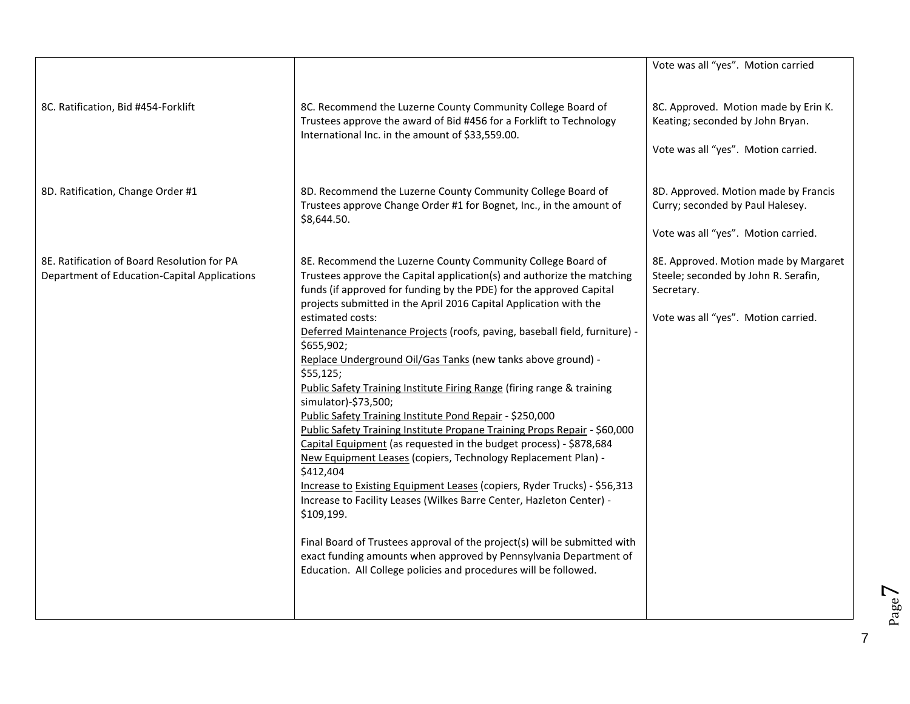|                                                                                             |                                                                                                                                                                                                                                                                                                                                                                                                                                                                                                                                                                                                                                                                                                                                                                                                                                                                                                                                                                                                                                                                                                                                                                                                                                                                       | Vote was all "yes". Motion carried                                                                                                 |
|---------------------------------------------------------------------------------------------|-----------------------------------------------------------------------------------------------------------------------------------------------------------------------------------------------------------------------------------------------------------------------------------------------------------------------------------------------------------------------------------------------------------------------------------------------------------------------------------------------------------------------------------------------------------------------------------------------------------------------------------------------------------------------------------------------------------------------------------------------------------------------------------------------------------------------------------------------------------------------------------------------------------------------------------------------------------------------------------------------------------------------------------------------------------------------------------------------------------------------------------------------------------------------------------------------------------------------------------------------------------------------|------------------------------------------------------------------------------------------------------------------------------------|
| 8C. Ratification, Bid #454-Forklift                                                         | 8C. Recommend the Luzerne County Community College Board of<br>Trustees approve the award of Bid #456 for a Forklift to Technology<br>International Inc. in the amount of \$33,559.00.                                                                                                                                                                                                                                                                                                                                                                                                                                                                                                                                                                                                                                                                                                                                                                                                                                                                                                                                                                                                                                                                                | 8C. Approved. Motion made by Erin K.<br>Keating; seconded by John Bryan.<br>Vote was all "yes". Motion carried.                    |
| 8D. Ratification, Change Order #1                                                           | 8D. Recommend the Luzerne County Community College Board of<br>Trustees approve Change Order #1 for Bognet, Inc., in the amount of<br>\$8,644.50.                                                                                                                                                                                                                                                                                                                                                                                                                                                                                                                                                                                                                                                                                                                                                                                                                                                                                                                                                                                                                                                                                                                     | 8D. Approved. Motion made by Francis<br>Curry; seconded by Paul Halesey.<br>Vote was all "yes". Motion carried.                    |
| 8E. Ratification of Board Resolution for PA<br>Department of Education-Capital Applications | 8E. Recommend the Luzerne County Community College Board of<br>Trustees approve the Capital application(s) and authorize the matching<br>funds (if approved for funding by the PDE) for the approved Capital<br>projects submitted in the April 2016 Capital Application with the<br>estimated costs:<br>Deferred Maintenance Projects (roofs, paving, baseball field, furniture) -<br>\$655,902;<br>Replace Underground Oil/Gas Tanks (new tanks above ground) -<br>\$55,125;<br>Public Safety Training Institute Firing Range (firing range & training<br>simulator)-\$73,500;<br>Public Safety Training Institute Pond Repair - \$250,000<br>Public Safety Training Institute Propane Training Props Repair - \$60,000<br>Capital Equipment (as requested in the budget process) - \$878,684<br>New Equipment Leases (copiers, Technology Replacement Plan) -<br>\$412,404<br>Increase to Existing Equipment Leases (copiers, Ryder Trucks) - \$56,313<br>Increase to Facility Leases (Wilkes Barre Center, Hazleton Center) -<br>\$109,199.<br>Final Board of Trustees approval of the project(s) will be submitted with<br>exact funding amounts when approved by Pennsylvania Department of<br>Education. All College policies and procedures will be followed. | 8E. Approved. Motion made by Margaret<br>Steele; seconded by John R. Serafin,<br>Secretary.<br>Vote was all "yes". Motion carried. |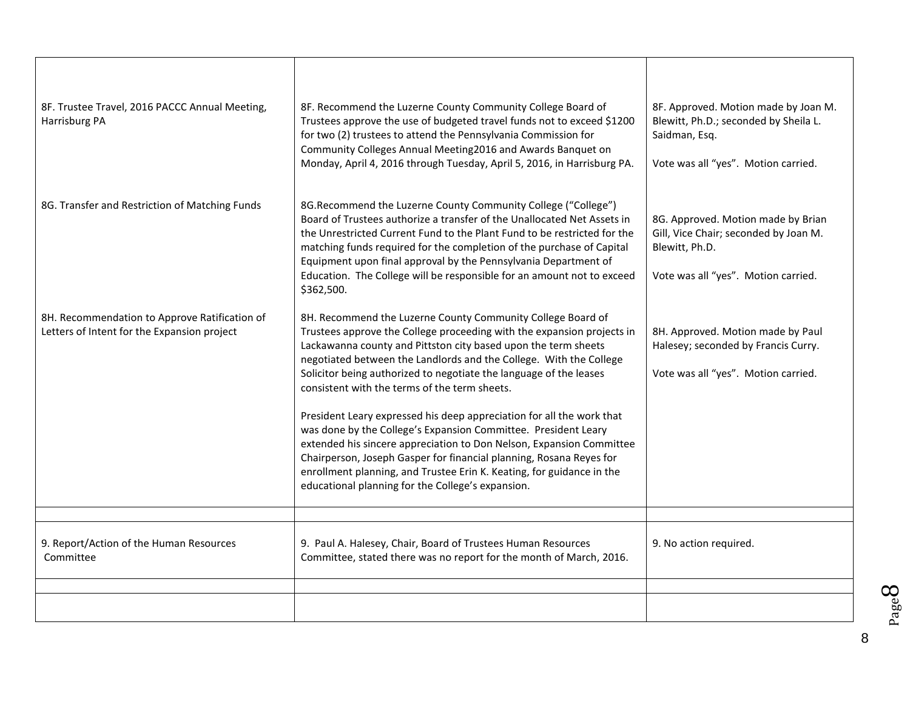| 8F. Trustee Travel, 2016 PACCC Annual Meeting,<br>Harrisburg PA                              | 8F. Recommend the Luzerne County Community College Board of<br>Trustees approve the use of budgeted travel funds not to exceed \$1200<br>for two (2) trustees to attend the Pennsylvania Commission for<br>Community Colleges Annual Meeting2016 and Awards Banquet on<br>Monday, April 4, 2016 through Tuesday, April 5, 2016, in Harrisburg PA.                                                                                                                                                                                                                                                                                                                                                                                                                                                                            | 8F. Approved. Motion made by Joan M.<br>Blewitt, Ph.D.; seconded by Sheila L.<br>Saidman, Esq.<br>Vote was all "yes". Motion carried. |
|----------------------------------------------------------------------------------------------|------------------------------------------------------------------------------------------------------------------------------------------------------------------------------------------------------------------------------------------------------------------------------------------------------------------------------------------------------------------------------------------------------------------------------------------------------------------------------------------------------------------------------------------------------------------------------------------------------------------------------------------------------------------------------------------------------------------------------------------------------------------------------------------------------------------------------|---------------------------------------------------------------------------------------------------------------------------------------|
| 8G. Transfer and Restriction of Matching Funds                                               | 8G.Recommend the Luzerne County Community College ("College")<br>Board of Trustees authorize a transfer of the Unallocated Net Assets in<br>the Unrestricted Current Fund to the Plant Fund to be restricted for the<br>matching funds required for the completion of the purchase of Capital<br>Equipment upon final approval by the Pennsylvania Department of<br>Education. The College will be responsible for an amount not to exceed<br>\$362,500.                                                                                                                                                                                                                                                                                                                                                                     | 8G. Approved. Motion made by Brian<br>Gill, Vice Chair; seconded by Joan M.<br>Blewitt, Ph.D.<br>Vote was all "yes". Motion carried.  |
| 8H. Recommendation to Approve Ratification of<br>Letters of Intent for the Expansion project | 8H. Recommend the Luzerne County Community College Board of<br>Trustees approve the College proceeding with the expansion projects in<br>Lackawanna county and Pittston city based upon the term sheets<br>negotiated between the Landlords and the College. With the College<br>Solicitor being authorized to negotiate the language of the leases<br>consistent with the terms of the term sheets.<br>President Leary expressed his deep appreciation for all the work that<br>was done by the College's Expansion Committee. President Leary<br>extended his sincere appreciation to Don Nelson, Expansion Committee<br>Chairperson, Joseph Gasper for financial planning, Rosana Reyes for<br>enrollment planning, and Trustee Erin K. Keating, for guidance in the<br>educational planning for the College's expansion. | 8H. Approved. Motion made by Paul<br>Halesey; seconded by Francis Curry.<br>Vote was all "yes". Motion carried.                       |
| 9. Report/Action of the Human Resources<br>Committee                                         | 9. Paul A. Halesey, Chair, Board of Trustees Human Resources<br>Committee, stated there was no report for the month of March, 2016.                                                                                                                                                                                                                                                                                                                                                                                                                                                                                                                                                                                                                                                                                          | 9. No action required.                                                                                                                |
|                                                                                              |                                                                                                                                                                                                                                                                                                                                                                                                                                                                                                                                                                                                                                                                                                                                                                                                                              |                                                                                                                                       |